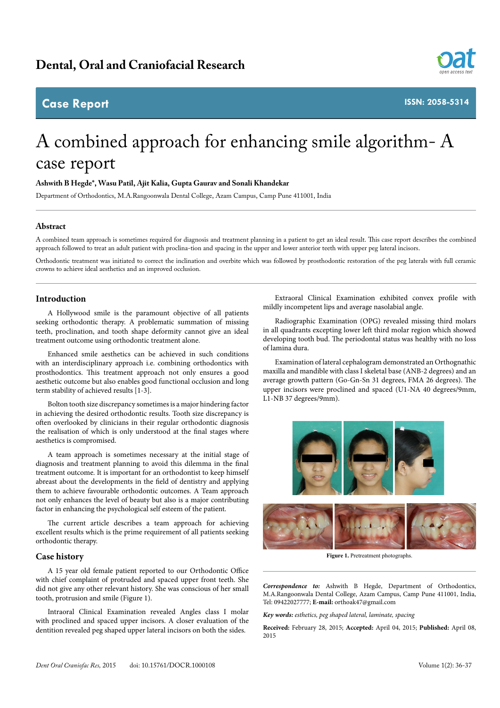# **Case Report**



**ISSN: 2058-5314**

# A combined approach for enhancing smile algorithm- A case report

### **Ashwith B Hegde\*, Wasu Patil, Ajit Kalia, Gupta Gaurav and Sonali Khandekar**

Department of Orthodontics, M.A.Rangoonwala Dental College, Azam Campus, Camp Pune 411001, India

# **Abstract**

A combined team approach is sometimes required for diagnosis and treatment planning in a patient to get an ideal result. This case report describes the combined approach followed to treat an adult patient with proclina-tion and spacing in the upper and lower anterior teeth with upper peg lateral incisors.

Orthodontic treatment was initiated to correct the inclination and overbite which was followed by prosthodontic restoration of the peg laterals with full ceramic crowns to achieve ideal aesthetics and an improved occlusion.

# **Introduction**

A Hollywood smile is the paramount objective of all patients seeking orthodontic therapy. A problematic summation of missing teeth, proclination, and tooth shape deformity cannot give an ideal treatment outcome using orthodontic treatment alone.

Enhanced smile aesthetics can be achieved in such conditions with an interdisciplinary approach i.e. combining orthodontics with prosthodontics. This treatment approach not only ensures a good aesthetic outcome but also enables good functional occlusion and long term stability of achieved results [1-3].

Bolton tooth size discrepancy sometimes is a major hindering factor in achieving the desired orthodontic results. Tooth size discrepancy is often overlooked by clinicians in their regular orthodontic diagnosis the realisation of which is only understood at the final stages where aesthetics is compromised.

A team approach is sometimes necessary at the initial stage of diagnosis and treatment planning to avoid this dilemma in the final treatment outcome. It is important for an orthodontist to keep himself abreast about the developments in the field of dentistry and applying them to achieve favourable orthodontic outcomes. A Team approach not only enhances the level of beauty but also is a major contributing factor in enhancing the psychological self esteem of the patient.

The current article describes a team approach for achieving excellent results which is the prime requirement of all patients seeking orthodontic therapy.

#### **Case history**

A 15 year old female patient reported to our Orthodontic Office with chief complaint of protruded and spaced upper front teeth. She did not give any other relevant history. She was conscious of her small tooth, protrusion and smile (Figure 1).

Intraoral Clinical Examination revealed Angles class I molar with proclined and spaced upper incisors. A closer evaluation of the dentition revealed peg shaped upper lateral incisors on both the sides.

Extraoral Clinical Examination exhibited convex profile with mildly incompetent lips and average nasolabial angle.

Radiographic Examination (OPG) revealed missing third molars in all quadrants excepting lower left third molar region which showed developing tooth bud. The periodontal status was healthy with no loss of lamina dura.

Examination of lateral cephalogram demonstrated an Orthognathic maxilla and mandible with class I skeletal base (ANB-2 degrees) and an average growth pattern (Go-Gn-Sn 31 degrees, FMA 26 degrees). The upper incisors were proclined and spaced (U1-NA 40 degrees/9mm, L1-NB 37 degrees/9mm).





**Figure 1.** Pretreatment photographs.

*Correspondence to:* Ashwith B Hegde, Department of Orthodontics, M.A.Rangoonwala Dental College, Azam Campus, Camp Pune 411001, India, Tel: 09422027777; **E-mail:** orthoak47@gmail.com

*Key words: esthetics, peg shaped lateral, laminate, spacing*

**Received:** February 28, 2015; **Accepted:** April 04, 2015; **Published:** April 08, 2015